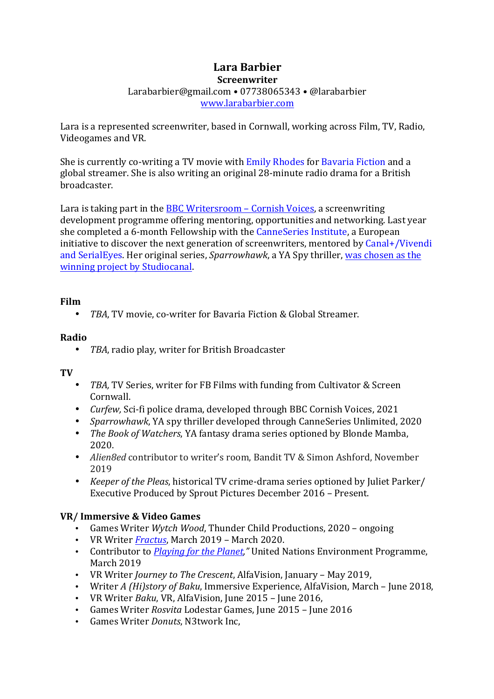### **Lara Barbier Screenwriter** Larabarbier@gmail.com • 07738065343 • @larabarbier www.larabarbier.com

Lara is a represented screenwriter, based in Cornwall, working across Film, TV, Radio, Videogames and VR.

She is currently co-writing a TV movie with Emily Rhodes for Bavaria Fiction and a global streamer. She is also writing an original 28-minute radio drama for a British broadcaster.

Lara is taking part in the **BBC Writersroom – Cornish Voices**, a screenwriting development programme offering mentoring, opportunities and networking. Last year she completed a 6-month Fellowship with the CanneSeries Institute, a European initiative to discover the next generation of screenwriters, mentored by Canal+/Vivendi and SerialEyes. Her original series, *Sparrowhawk*, a YA Spy thriller, was chosen as the winning project by Studiocanal.

### **Film**

• *TBA*, TV movie, co-writer for Bavaria Fiction & Global Streamer.

#### **Radio**

• TBA, radio play, writer for British Broadcaster

#### **TV**

- TBA, TV Series, writer for FB Films with funding from Cultivator & Screen Cornwall.
- *Curfew*, Sci-fi police drama, developed through BBC Cornish Voices, 2021
- *Sparrowhawk*, YA spy thriller developed through CanneSeries Unlimited, 2020
- *The Book of Watchers*, YA fantasy drama series optioned by Blonde Mamba, 2020.
- *Alien8ed* contributor to writer's room, Bandit TV & Simon Ashford, November 2019
- *Keeper of the Pleas*, historical TV crime-drama series optioned by Juliet Parker/ Executive Produced by Sprout Pictures December 2016 – Present.

### **VR/ Immersive & Video Games**

- Games Writer *Wytch Wood*, Thunder Child Productions, 2020 ongoing
- VR Writer *Fractus*, March 2019 March 2020.
- Contributor to *Playing for the Planet*," United Nations Environment Programme, March 2019
- VR Writer *Journey to The Crescent*, AlfaVision, January May 2019,
- Writer *A (Hi)story of Baku*, Immersive Experience, AlfaVision, March June 2018,
- VR Writer *Baku*, VR, AlfaVision, June 2015 June 2016.
- Games Writer *Rosvita* Lodestar Games, June 2015 June 2016
- Games Writer *Donuts*, N3twork Inc,